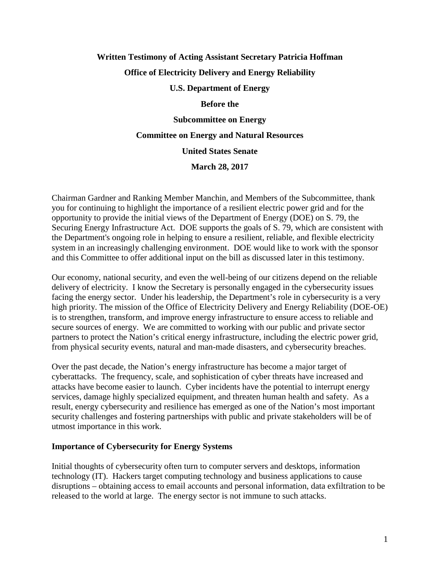# **Written Testimony of Acting Assistant Secretary Patricia Hoffman Office of Electricity Delivery and Energy Reliability**

# **U.S. Department of Energy**

#### **Before the**

**Subcommittee on Energy**

#### **Committee on Energy and Natural Resources**

## **United States Senate**

**March 28, 2017**

Chairman Gardner and Ranking Member Manchin, and Members of the Subcommittee, thank you for continuing to highlight the importance of a resilient electric power grid and for the opportunity to provide the initial views of the Department of Energy (DOE) on S. 79, the Securing Energy Infrastructure Act. DOE supports the goals of S. 79, which are consistent with the Department's ongoing role in helping to ensure a resilient, reliable, and flexible electricity system in an increasingly challenging environment. DOE would like to work with the sponsor and this Committee to offer additional input on the bill as discussed later in this testimony.

Our economy, national security, and even the well-being of our citizens depend on the reliable delivery of electricity. I know the Secretary is personally engaged in the cybersecurity issues facing the energy sector. Under his leadership, the Department's role in cybersecurity is a very high priority. The mission of the Office of Electricity Delivery and Energy Reliability (DOE-OE) is to strengthen, transform, and improve energy infrastructure to ensure access to reliable and secure sources of energy. We are committed to working with our public and private sector partners to protect the Nation's critical energy infrastructure, including the electric power grid, from physical security events, natural and man-made disasters, and cybersecurity breaches.

Over the past decade, the Nation's energy infrastructure has become a major target of cyberattacks. The frequency, scale, and sophistication of cyber threats have increased and attacks have become easier to launch. Cyber incidents have the potential to interrupt energy services, damage highly specialized equipment, and threaten human health and safety. As a result, energy cybersecurity and resilience has emerged as one of the Nation's most important security challenges and fostering partnerships with public and private stakeholders will be of utmost importance in this work.

#### **Importance of Cybersecurity for Energy Systems**

Initial thoughts of cybersecurity often turn to computer servers and desktops, information technology (IT). Hackers target computing technology and business applications to cause disruptions – obtaining access to email accounts and personal information, data exfiltration to be released to the world at large. The energy sector is not immune to such attacks.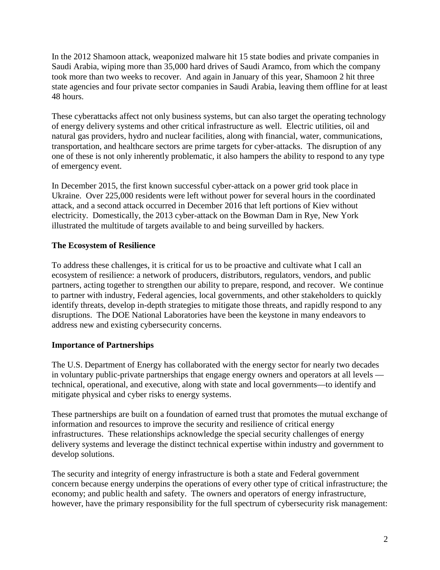In the 2012 Shamoon attack, weaponized malware hit 15 state bodies and private companies in Saudi Arabia, wiping more than 35,000 hard drives of Saudi Aramco, from which the company took more than two weeks to recover. And again in January of this year, Shamoon 2 hit three state agencies and four private sector companies in Saudi Arabia, leaving them offline for at least 48 hours.

These cyberattacks affect not only business systems, but can also target the operating technology of energy delivery systems and other critical infrastructure as well. Electric utilities, oil and natural gas providers, hydro and nuclear facilities, along with financial, water, communications, transportation, and healthcare sectors are prime targets for cyber-attacks. The disruption of any one of these is not only inherently problematic, it also hampers the ability to respond to any type of emergency event.

In December 2015, the first known successful cyber-attack on a power grid took place in Ukraine. Over 225,000 residents were left without power for several hours in the coordinated attack, and a second attack occurred in December 2016 that left portions of Kiev without electricity. Domestically, the 2013 cyber-attack on the Bowman Dam in Rye, New York illustrated the multitude of targets available to and being surveilled by hackers.

# **The Ecosystem of Resilience**

To address these challenges, it is critical for us to be proactive and cultivate what I call an ecosystem of resilience: a network of producers, distributors, regulators, vendors, and public partners, acting together to strengthen our ability to prepare, respond, and recover. We continue to partner with industry, Federal agencies, local governments, and other stakeholders to quickly identify threats, develop in-depth strategies to mitigate those threats, and rapidly respond to any disruptions. The DOE National Laboratories have been the keystone in many endeavors to address new and existing cybersecurity concerns.

## **Importance of Partnerships**

The U.S. Department of Energy has collaborated with the energy sector for nearly two decades in voluntary public-private partnerships that engage energy owners and operators at all levels technical, operational, and executive, along with state and local governments—to identify and mitigate physical and cyber risks to energy systems.

These partnerships are built on a foundation of earned trust that promotes the mutual exchange of information and resources to improve the security and resilience of critical energy infrastructures. These relationships acknowledge the special security challenges of energy delivery systems and leverage the distinct technical expertise within industry and government to develop solutions.

The security and integrity of energy infrastructure is both a state and Federal government concern because energy underpins the operations of every other type of critical infrastructure; the economy; and public health and safety. The owners and operators of energy infrastructure, however, have the primary responsibility for the full spectrum of cybersecurity risk management: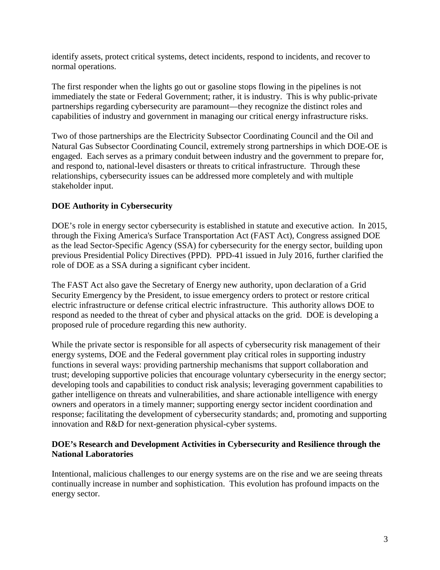identify assets, protect critical systems, detect incidents, respond to incidents, and recover to normal operations.

The first responder when the lights go out or gasoline stops flowing in the pipelines is not immediately the state or Federal Government; rather, it is industry. This is why public-private partnerships regarding cybersecurity are paramount—they recognize the distinct roles and capabilities of industry and government in managing our critical energy infrastructure risks.

Two of those partnerships are the Electricity Subsector Coordinating Council and the Oil and Natural Gas Subsector Coordinating Council, extremely strong partnerships in which DOE-OE is engaged. Each serves as a primary conduit between industry and the government to prepare for, and respond to, national-level disasters or threats to critical infrastructure. Through these relationships, cybersecurity issues can be addressed more completely and with multiple stakeholder input.

# **DOE Authority in Cybersecurity**

DOE's role in energy sector cybersecurity is established in statute and executive action. In 2015, through the Fixing America's Surface Transportation Act (FAST Act), Congress assigned DOE as the lead Sector-Specific Agency (SSA) for cybersecurity for the energy sector, building upon previous Presidential Policy Directives (PPD). PPD-41 issued in July 2016, further clarified the role of DOE as a SSA during a significant cyber incident.

The FAST Act also gave the Secretary of Energy new authority, upon declaration of a Grid Security Emergency by the President, to issue emergency orders to protect or restore critical electric infrastructure or defense critical electric infrastructure. This authority allows DOE to respond as needed to the threat of cyber and physical attacks on the grid. DOE is developing a proposed rule of procedure regarding this new authority.

While the private sector is responsible for all aspects of cybersecurity risk management of their energy systems, DOE and the Federal government play critical roles in supporting industry functions in several ways: providing partnership mechanisms that support collaboration and trust; developing supportive policies that encourage voluntary cybersecurity in the energy sector; developing tools and capabilities to conduct risk analysis; leveraging government capabilities to gather intelligence on threats and vulnerabilities, and share actionable intelligence with energy owners and operators in a timely manner; supporting energy sector incident coordination and response; facilitating the development of cybersecurity standards; and, promoting and supporting innovation and R&D for next-generation physical-cyber systems.

## **DOE's Research and Development Activities in Cybersecurity and Resilience through the National Laboratories**

Intentional, malicious challenges to our energy systems are on the rise and we are seeing threats continually increase in number and sophistication. This evolution has profound impacts on the energy sector.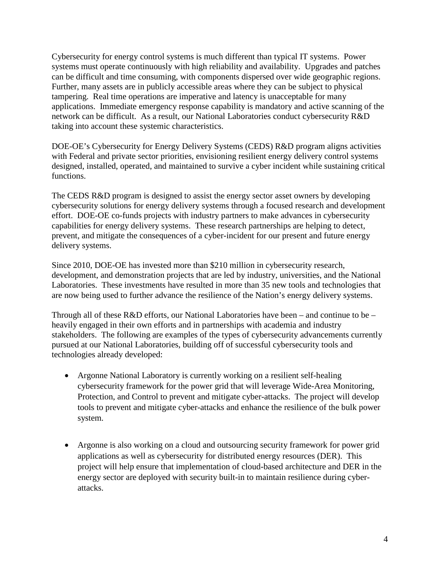Cybersecurity for energy control systems is much different than typical IT systems. Power systems must operate continuously with high reliability and availability. Upgrades and patches can be difficult and time consuming, with components dispersed over wide geographic regions. Further, many assets are in publicly accessible areas where they can be subject to physical tampering. Real time operations are imperative and latency is unacceptable for many applications. Immediate emergency response capability is mandatory and active scanning of the network can be difficult. As a result, our National Laboratories conduct cybersecurity R&D taking into account these systemic characteristics.

DOE-OE's Cybersecurity for Energy Delivery Systems (CEDS) R&D program aligns activities with Federal and private sector priorities, envisioning resilient energy delivery control systems designed, installed, operated, and maintained to survive a cyber incident while sustaining critical functions.

The CEDS R&D program is designed to assist the energy sector asset owners by developing cybersecurity solutions for energy delivery systems through a focused research and development effort. DOE-OE co-funds projects with industry partners to make advances in cybersecurity capabilities for energy delivery systems. These research partnerships are helping to detect, prevent, and mitigate the consequences of a cyber-incident for our present and future energy delivery systems.

Since 2010, DOE-OE has invested more than \$210 million in cybersecurity research, development, and demonstration projects that are led by industry, universities, and the National Laboratories. These investments have resulted in more than 35 new tools and technologies that are now being used to further advance the resilience of the Nation's energy delivery systems.

Through all of these  $R&D$  efforts, our National Laboratories have been – and continue to be – heavily engaged in their own efforts and in partnerships with academia and industry stakeholders. The following are examples of the types of cybersecurity advancements currently pursued at our National Laboratories, building off of successful cybersecurity tools and technologies already developed:

- Argonne National Laboratory is currently working on a resilient self-healing cybersecurity framework for the power grid that will leverage Wide-Area Monitoring, Protection, and Control to prevent and mitigate cyber-attacks. The project will develop tools to prevent and mitigate cyber-attacks and enhance the resilience of the bulk power system.
- Argonne is also working on a cloud and outsourcing security framework for power grid applications as well as cybersecurity for distributed energy resources (DER). This project will help ensure that implementation of cloud-based architecture and DER in the energy sector are deployed with security built-in to maintain resilience during cyberattacks.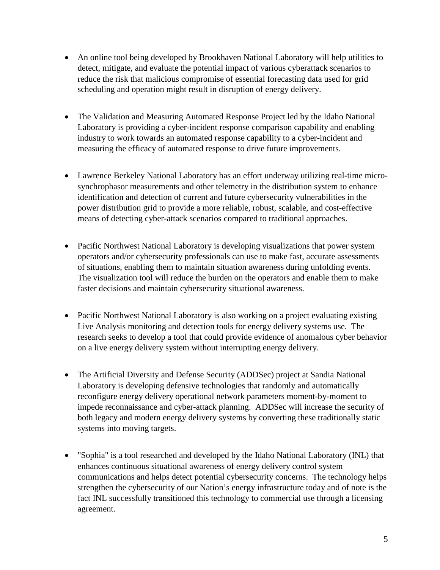- An online tool being developed by Brookhaven National Laboratory will help utilities to detect, mitigate, and evaluate the potential impact of various cyberattack scenarios to reduce the risk that malicious compromise of essential forecasting data used for grid scheduling and operation might result in disruption of energy delivery.
- The Validation and Measuring Automated Response Project led by the Idaho National Laboratory is providing a cyber-incident response comparison capability and enabling industry to work towards an automated response capability to a cyber-incident and measuring the efficacy of automated response to drive future improvements.
- Lawrence Berkeley National Laboratory has an effort underway utilizing real-time microsynchrophasor measurements and other telemetry in the distribution system to enhance identification and detection of current and future cybersecurity vulnerabilities in the power distribution grid to provide a more reliable, robust, scalable, and cost-effective means of detecting cyber-attack scenarios compared to traditional approaches.
- Pacific Northwest National Laboratory is developing visualizations that power system operators and/or cybersecurity professionals can use to make fast, accurate assessments of situations, enabling them to maintain situation awareness during unfolding events. The visualization tool will reduce the burden on the operators and enable them to make faster decisions and maintain cybersecurity situational awareness.
- Pacific Northwest National Laboratory is also working on a project evaluating existing Live Analysis monitoring and detection tools for energy delivery systems use. The research seeks to develop a tool that could provide evidence of anomalous cyber behavior on a live energy delivery system without interrupting energy delivery.
- The Artificial Diversity and Defense Security (ADDSec) project at Sandia National Laboratory is developing defensive technologies that randomly and automatically reconfigure energy delivery operational network parameters moment-by-moment to impede reconnaissance and cyber-attack planning. ADDSec will increase the security of both legacy and modern energy delivery systems by converting these traditionally static systems into moving targets.
- "Sophia" is a tool researched and developed by the Idaho National Laboratory (INL) that enhances continuous situational awareness of energy delivery control system communications and helps detect potential cybersecurity concerns. The technology helps strengthen the cybersecurity of our Nation's energy infrastructure today and of note is the fact INL successfully transitioned this technology to commercial use through a licensing agreement.